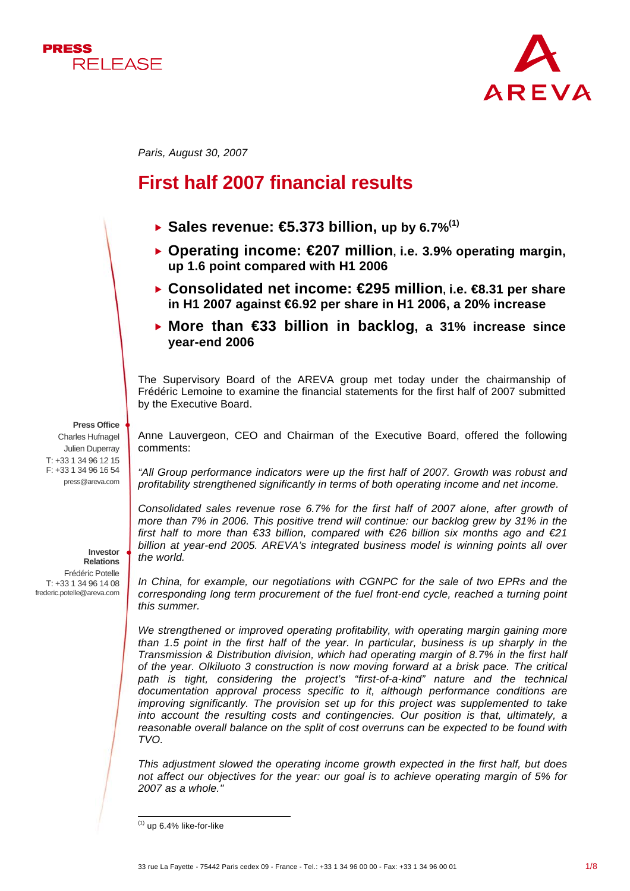



*Paris, August 30, 2007* 

# **First half 2007 financial results**

- $\blacktriangleright$  Sales revenue:  $\bigoplus$ .373 billion, up by 6.7%<sup>(1)</sup>
- **▶ Operating income: €207 million, i.e. 3.9% operating margin, up 1.6 point compared with H1 2006**
- **► Consolidated net income: €295 million, i.e. €8.31 per share in H1 2007 against €6.92 per share in H1 2006, a 20% increase**
- **▶ More than €33 billion in backlog, a 31% increase since year-end 2006**

The Supervisory Board of the AREVA group met today under the chairmanship of Frédéric Lemoine to examine the financial statements for the first half of 2007 submitted by the Executive Board.

#### **Press Office**

Charles Hufnagel Julien Duperray T: +33 1 34 96 12 15 F: +33 1 34 96 16 54 press@areva.com

> **Investor Relations**

Frédéric Potelle T: +33 1 34 96 14 08 frederic.potelle@areva.com

Anne Lauvergeon, CEO and Chairman of the Executive Board, offered the following comments:

*"All Group performance indicators were up the first half of 2007. Growth was robust and profitability strengthened significantly in terms of both operating income and net income.* 

*Consolidated sales revenue rose 6.7% for the first half of 2007 alone, after growth of more than 7% in 2006. This positive trend will continue: our backlog grew by 31% in the first half to more than €33 billion, compared with €26 billion six months ago and €21 billion at year-end 2005. AREVA's integrated business model is winning points all over the world.* 

In China, for example, our negotiations with CGNPC for the sale of two EPRs and the *corresponding long term procurement of the fuel front-end cycle, reached a turning point this summer.* 

*We strengthened or improved operating profitability, with operating margin gaining more than 1.5 point in the first half of the year. In particular, business is up sharply in the Transmission & Distribution division, which had operating margin of 8.7% in the first half of the year. Olkiluoto 3 construction is now moving forward at a brisk pace. The critical*  path is tight, considering the project's "first-of-a-kind" nature and the technical *documentation approval process specific to it, although performance conditions are improving significantly. The provision set up for this project was supplemented to take into account the resulting costs and contingencies. Our position is that, ultimately, a reasonable overall balance on the split of cost overruns can be expected to be found with TVO.* 

*This adjustment slowed the operating income growth expected in the first half, but does not affect our objectives for the year: our goal is to achieve operating margin of 5% for 2007 as a whole."*

l  $<sup>(1)</sup>$  up 6.4% like-for-like</sup>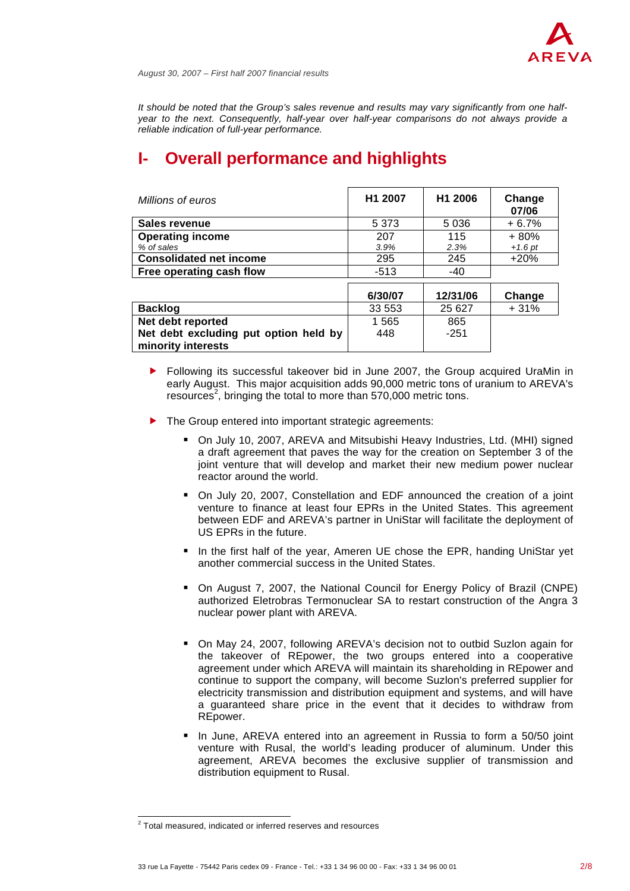

*It should be noted that the Group's sales revenue and results may vary significantly from one halfyear to the next. Consequently, half-year over half-year comparisons do not always provide a reliable indication of full-year performance.* 

# **Overall performance and highlights**

| Millions of euros                                           | H1 2007 | H1 2006  | Change<br>07/06 |
|-------------------------------------------------------------|---------|----------|-----------------|
| Sales revenue                                               | 5 3 7 3 | 5 0 3 6  | $+6.7%$         |
| <b>Operating income</b>                                     | 207     | 115      | $+80%$          |
| % of sales                                                  | 3.9%    | 2.3%     | $+1.6$ pt       |
| <b>Consolidated net income</b>                              | 295     | 245      | $+20%$          |
| Free operating cash flow                                    | $-513$  | $-40$    |                 |
|                                                             | 6/30/07 | 12/31/06 | Change          |
| <b>Backlog</b>                                              | 33 553  | 25 6 27  | $+31%$          |
| Net debt reported                                           | 1 565   | 865      |                 |
| Net debt excluding put option held by<br>minority interests | 448     | $-251$   |                 |

- $\blacktriangleright$  Following its successful takeover bid in June 2007, the Group acquired UraMin in early August. This major acquisition adds 90,000 metric tons of uranium to AREVA's resources<sup>2</sup>, bringing the total to more than 570,000 metric tons.
- $\blacktriangleright$  The Group entered into important strategic agreements:
	- On July 10, 2007, AREVA and Mitsubishi Heavy Industries, Ltd. (MHI) signed a draft agreement that paves the way for the creation on September 3 of the joint venture that will develop and market their new medium power nuclear reactor around the world.
	- On July 20, 2007, Constellation and EDF announced the creation of a joint venture to finance at least four EPRs in the United States. This agreement between EDF and AREVA's partner in UniStar will facilitate the deployment of US EPRs in the future.
	- In the first half of the year, Ameren UE chose the EPR, handing UniStar yet another commercial success in the United States.
	- On August 7, 2007, the National Council for Energy Policy of Brazil (CNPE) authorized Eletrobras Termonuclear SA to restart construction of the Angra 3 nuclear power plant with AREVA.
	- On May 24, 2007, following AREVA's decision not to outbid Suzlon again for the takeover of REpower, the two groups entered into a cooperative agreement under which AREVA will maintain its shareholding in REpower and continue to support the company, will become Suzlon's preferred supplier for electricity transmission and distribution equipment and systems, and will have a guaranteed share price in the event that it decides to withdraw from REpower.
	- In June, AREVA entered into an agreement in Russia to form a 50/50 joint venture with Rusal, the world's leading producer of aluminum. Under this agreement, AREVA becomes the exclusive supplier of transmission and distribution equipment to Rusal.

 2 Total measured, indicated or inferred reserves and resources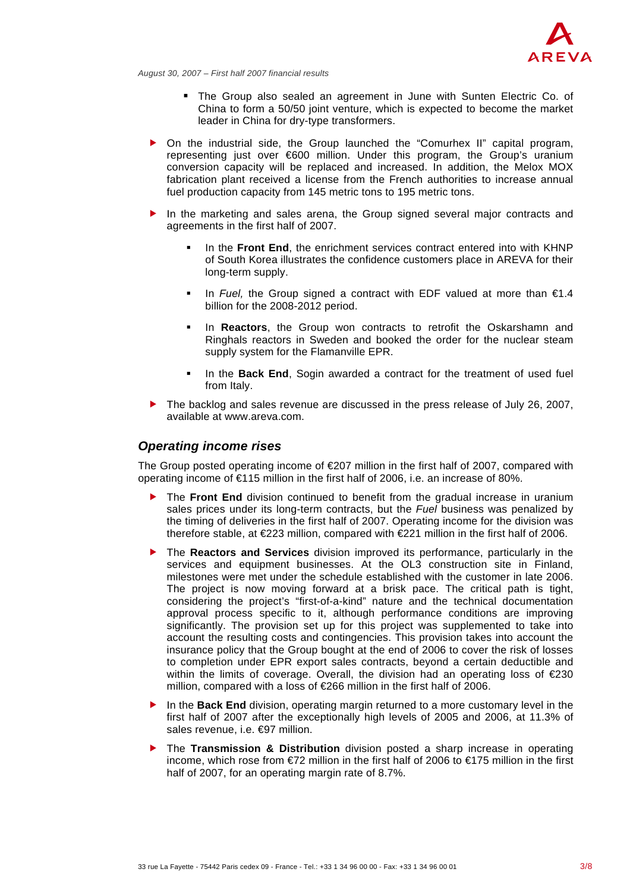

- The Group also sealed an agreement in June with Sunten Electric Co. of China to form a 50/50 joint venture, which is expected to become the market leader in China for dry-type transformers.
- On the industrial side, the Group launched the "Comurhex II" capital program, representing just over €600 million. Under this program, the Group's uranium conversion capacity will be replaced and increased. In addition, the Melox MOX fabrication plant received a license from the French authorities to increase annual fuel production capacity from 145 metric tons to 195 metric tons.
- In the marketing and sales arena, the Group signed several major contracts and agreements in the first half of 2007.
	- In the **Front End**, the enrichment services contract entered into with KHNP of South Korea illustrates the confidence customers place in AREVA for their long-term supply.
	- In *Fuel*, the Group signed a contract with EDF valued at more than €1.4 billion for the 2008-2012 period.
	- In **Reactors**, the Group won contracts to retrofit the Oskarshamn and Ringhals reactors in Sweden and booked the order for the nuclear steam supply system for the Flamanville EPR.
	- In the **Back End**, Sogin awarded a contract for the treatment of used fuel from Italy.
- $\blacktriangleright$  The backlog and sales revenue are discussed in the press release of July 26, 2007, available at www.areva.com.

### *Operating income rises*

The Group posted operating income of  $\epsilon$ 207 million in the first half of 2007, compared with operating income of €115 million in the first half of 2006, i.e. an increase of 80%.

- f The **Front End** division continued to benefit from the gradual increase in uranium sales prices under its long-term contracts, but the *Fuel* business was penalized by the timing of deliveries in the first half of 2007. Operating income for the division was therefore stable, at €223 million, compared with €221 million in the first half of 2006.
- **Figure 1** The **Reactors and Services** division improved its performance, particularly in the services and equipment businesses. At the OL3 construction site in Finland, milestones were met under the schedule established with the customer in late 2006. The project is now moving forward at a brisk pace. The critical path is tight, considering the project's "first-of-a-kind" nature and the technical documentation approval process specific to it, although performance conditions are improving significantly. The provision set up for this project was supplemented to take into account the resulting costs and contingencies. This provision takes into account the insurance policy that the Group bought at the end of 2006 to cover the risk of losses to completion under EPR export sales contracts, beyond a certain deductible and within the limits of coverage. Overall, the division had an operating loss of  $\epsilon$ 230 million, compared with a loss of €266 million in the first half of 2006.
- In the **Back End** division, operating margin returned to a more customary level in the first half of 2007 after the exceptionally high levels of 2005 and 2006, at 11.3% of sales revenue, i.e. €97 million.
- f The **Transmission & Distribution** division posted a sharp increase in operating income, which rose from  $\epsilon$ 72 million in the first half of 2006 to  $\epsilon$ 175 million in the first half of 2007, for an operating margin rate of 8.7%.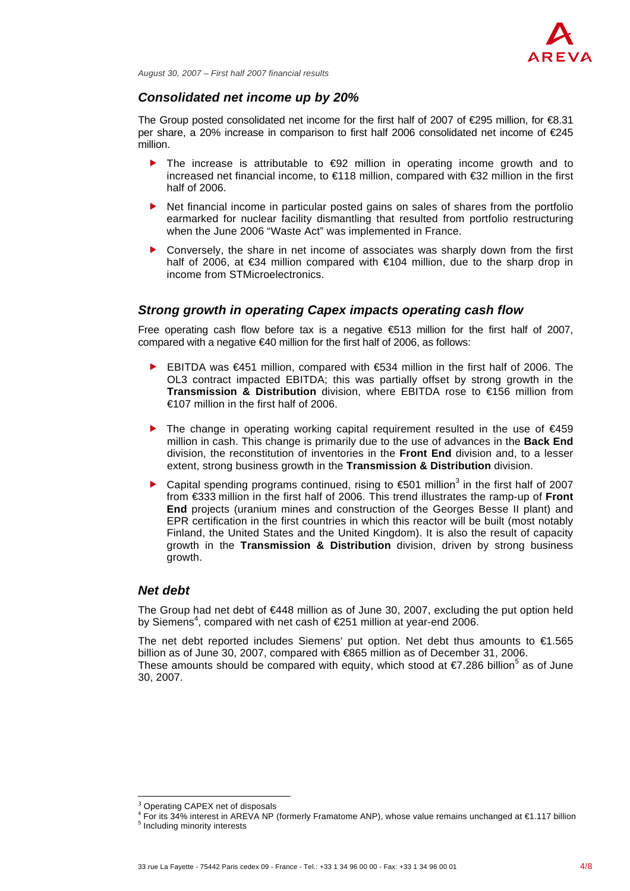

### *Consolidated net income up by 20%*

The Group posted consolidated net income for the first half of 2007 of  $\epsilon$ 295 million, for  $\epsilon$ 8.31 per share, a 20% increase in comparison to first half 2006 consolidated net income of €245 million.

- The increase is attributable to  $E = 92$  million in operating income growth and to increased net financial income, to €118 million, compared with €32 million in the first half of 2006.
- Net financial income in particular posted gains on sales of shares from the portfolio earmarked for nuclear facility dismantling that resulted from portfolio restructuring when the June 2006 "Waste Act" was implemented in France.
- f Conversely, the share in net income of associates was sharply down from the first half of 2006, at €34 million compared with €104 million, due to the sharp drop in income from STMicroelectronics.

## *Strong growth in operating Capex impacts operating cash flow*

Free operating cash flow before tax is a negative  $$13$  million for the first half of 2007, compared with a negative €40 million for the first half of 2006, as follows:

- **►** EBITDA was  $€451$  million, compared with  $€534$  million in the first half of 2006. The OL3 contract impacted EBITDA; this was partially offset by strong growth in the **Transmission & Distribution** division, where EBITDA rose to €156 million from €107 million in the first half of 2006.
- Fine change in operating working capital requirement resulted in the use of  $€459$ million in cash. This change is primarily due to the use of advances in the **Back End**  division, the reconstitution of inventories in the **Front End** division and, to a lesser extent, strong business growth in the **Transmission & Distribution** division.
- ▶ Capital spending programs continued, rising to  $€501$  million<sup>3</sup> in the first half of 2007 from €333 million in the first half of 2006. This trend illustrates the ramp-up of **Front End** projects (uranium mines and construction of the Georges Besse II plant) and EPR certification in the first countries in which this reactor will be built (most notably Finland, the United States and the United Kingdom). It is also the result of capacity growth in the **Transmission & Distribution** division, driven by strong business growth.

### *Net debt*

The Group had net debt of €448 million as of June 30, 2007, excluding the put option held by Siemens<sup>4</sup>, compared with net cash of €251 million at year-end 2006.

The net debt reported includes Siemens' put option. Net debt thus amounts to €1.565 billion as of June 30, 2007, compared with €865 million as of December 31, 2006. These amounts should be compared with equity, which stood at  $\epsilon$ 7.286 billion<sup>5</sup> as of June 30, 2007.

l

<sup>&</sup>lt;sup>3</sup> Operating CAPEX net of disposals

For its 34% interest in AREVA NP (formerly Framatome ANP), whose value remains unchanged at €1.117 billion

<sup>&</sup>lt;sup>5</sup> Including minority interests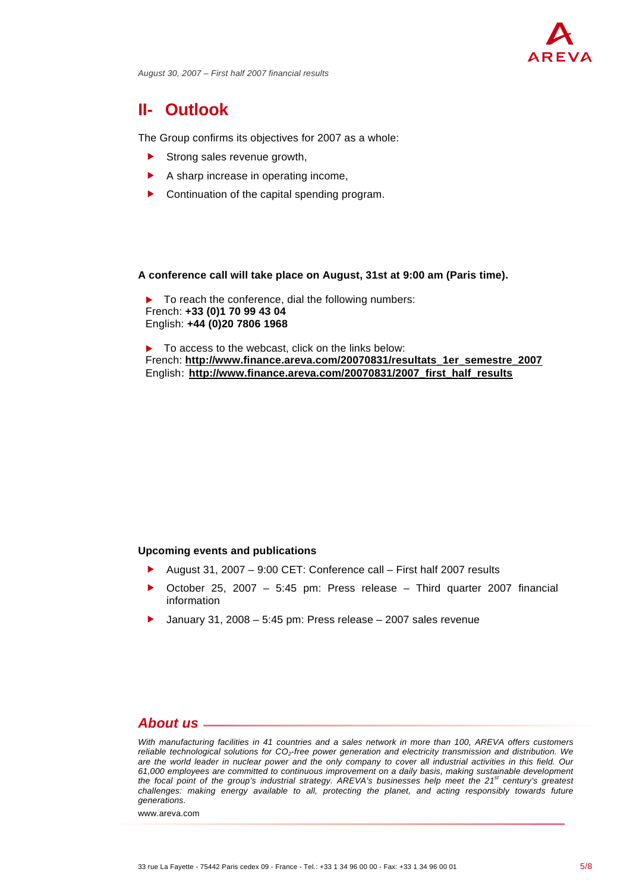

# **II- Outlook**

The Group confirms its objectives for 2007 as a whole:

- $\blacktriangleright$  Strong sales revenue growth,
- $\blacktriangleright$  A sharp increase in operating income,
- $\blacktriangleright$  Continuation of the capital spending program.

#### **A conference call will take place on August, 31st at 9:00 am (Paris time).**

To reach the conference, dial the following numbers: French: **+33 (0)1 70 99 43 04** English: **+44 (0)20 7806 1968**

 $\blacktriangleright$  To access to the webcast, click on the links below: French: **http://www.finance.areva.com/20070831/resultats\_1er\_semestre\_2007** English: **http://www.finance.areva.com/20070831/2007\_first\_half\_results**

### **Upcoming events and publications**

- f August 31, 2007 9:00 CET: Conference call First half 2007 results
- **•** October 25, 2007 5:45 pm: Press release Third quarter 2007 financial information
- $\blacktriangleright$  January 31, 2008 5:45 pm: Press release 2007 sales revenue

# *About us*

*With manufacturing facilities in 41 countries and a sales network in more than 100, AREVA offers customers reliable technological solutions for CO2-free power generation and electricity transmission and distribution. We are the world leader in nuclear power and the only company to cover all industrial activities in this field. Our 61,000 employees are committed to continuous improvement on a daily basis, making sustainable development the focal point of the group's industrial strategy. AREVA's businesses help meet the 21st century's greatest challenges: making energy available to all, protecting the planet, and acting responsibly towards future generations.*

www.areva.com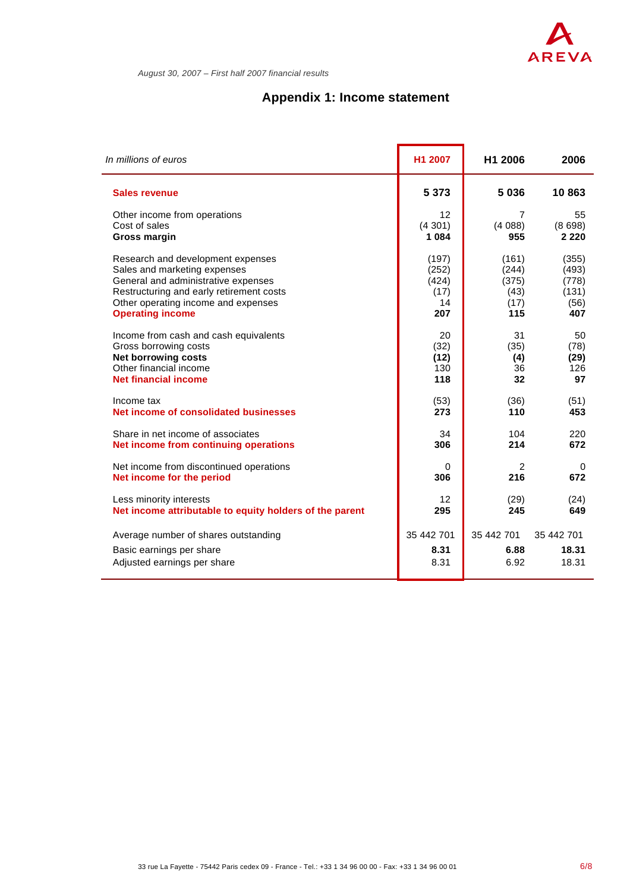

# **Appendix 1: Income statement**

| In millions of euros                                    | H1 2007    | H1 2006    | 2006       |
|---------------------------------------------------------|------------|------------|------------|
| <b>Sales revenue</b>                                    | 5 3 7 3    | 5 0 3 6    | 10863      |
| Other income from operations                            | 12         | 7          | 55         |
| Cost of sales                                           | (4301)     | (4088)     | (8698)     |
| <b>Gross margin</b>                                     | 1 0 8 4    | 955        | 2 2 2 0    |
| Research and development expenses                       | (197)      | (161)      | (355)      |
| Sales and marketing expenses                            | (252)      | (244)      | (493)      |
| General and administrative expenses                     | (424)      | (375)      | (778)      |
| Restructuring and early retirement costs                | (17)       | (43)       | (131)      |
| Other operating income and expenses                     | 14         | (17)       | (56)       |
| <b>Operating income</b>                                 | 207        | 115        | 407        |
| Income from cash and cash equivalents                   | 20         | 31         | 50         |
| Gross borrowing costs                                   | (32)       | (35)       | (78)       |
| <b>Net borrowing costs</b>                              | (12)       | (4)        | (29)       |
| Other financial income                                  | 130        | 36         | 126        |
| <b>Net financial income</b>                             | 118        | 32         | 97         |
| Income tax                                              | (53)       | (36)       | (51)       |
| Net income of consolidated businesses                   | 273        | 110        | 453        |
| Share in net income of associates                       | 34         | 104        | 220        |
| Net income from continuing operations                   | 306        | 214        | 672        |
| Net income from discontinued operations                 | 0          | 2          | 0          |
| Net income for the period                               | 306        | 216        | 672        |
| Less minority interests                                 | 12         | (29)       | (24)       |
| Net income attributable to equity holders of the parent | 295        | 245        | 649        |
| Average number of shares outstanding                    | 35 442 701 | 35 442 701 | 35 442 701 |
| Basic earnings per share                                | 8.31       | 6.88       | 18.31      |
| Adjusted earnings per share                             | 8.31       | 6.92       | 18.31      |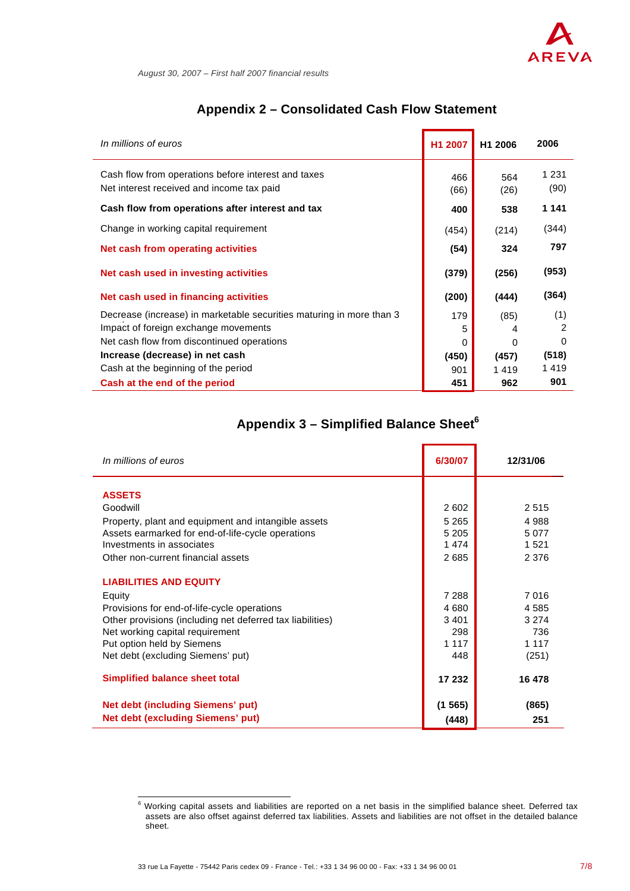

L.

# **Appendix 2 – Consolidated Cash Flow Statement**

| In millions of euros                                                                                                                                       | H1 2007       | H <sub>1</sub> 2006 | 2006                              |
|------------------------------------------------------------------------------------------------------------------------------------------------------------|---------------|---------------------|-----------------------------------|
| Cash flow from operations before interest and taxes<br>Net interest received and income tax paid                                                           | 466<br>(66)   | 564<br>(26)         | 1 2 3 1<br>(90)                   |
| Cash flow from operations after interest and tax                                                                                                           | 400           | 538                 | 1 141                             |
| Change in working capital requirement                                                                                                                      | (454)         | (214)               | (344)                             |
| Net cash from operating activities                                                                                                                         | (54)          | 324                 | 797                               |
| Net cash used in investing activities                                                                                                                      | (379)         | (256)               | (953)                             |
| Net cash used in financing activities                                                                                                                      | (200)         | (444)               | (364)                             |
| Decrease (increase) in marketable securities maturing in more than 3<br>Impact of foreign exchange movements<br>Net cash flow from discontinued operations | 179<br>5<br>0 | (85)<br>4<br>0      | (1)<br>$\overline{2}$<br>$\Omega$ |
| Increase (decrease) in net cash                                                                                                                            | (450)         | (457)               | (518)                             |
| Cash at the beginning of the period                                                                                                                        | 901           | 1419                | 1419                              |
| Cash at the end of the period                                                                                                                              | 451           | 962                 | 901                               |

# **Appendix 3 – Simplified Balance Sheet<sup>6</sup>**

| In millions of euros                                      | 6/30/07 | 12/31/06 |
|-----------------------------------------------------------|---------|----------|
| <b>ASSETS</b>                                             |         |          |
| Goodwill                                                  | 2 602   | 2515     |
| Property, plant and equipment and intangible assets       | 5 2 6 5 | 4 9 8 8  |
| Assets earmarked for end-of-life-cycle operations         | 5 2 0 5 | 5 0 7 7  |
| Investments in associates                                 | 1474    | 1521     |
| Other non-current financial assets                        | 2685    | 2 3 7 6  |
| <b>LIABILITIES AND EQUITY</b>                             |         |          |
| Equity                                                    | 7 2 8 8 | 7 0 1 6  |
| Provisions for end-of-life-cycle operations               | 4 6 8 0 | 4 5 8 5  |
| Other provisions (including net deferred tax liabilities) | 3 4 0 1 | 3 2 7 4  |
| Net working capital requirement                           | 298     | 736      |
| Put option held by Siemens                                | 1 1 1 7 | 1 1 1 7  |
| Net debt (excluding Siemens' put)                         | 448     | (251)    |
| Simplified balance sheet total                            | 17 232  | 16 478   |
| Net debt (including Siemens' put)                         | (1565)  | (865)    |
| <b>Net debt (excluding Siemens' put)</b>                  | (448)   | 251      |

 6 Working capital assets and liabilities are reported on a net basis in the simplified balance sheet. Deferred tax assets are also offset against deferred tax liabilities. Assets and liabilities are not offset in the detailed balance sheet.